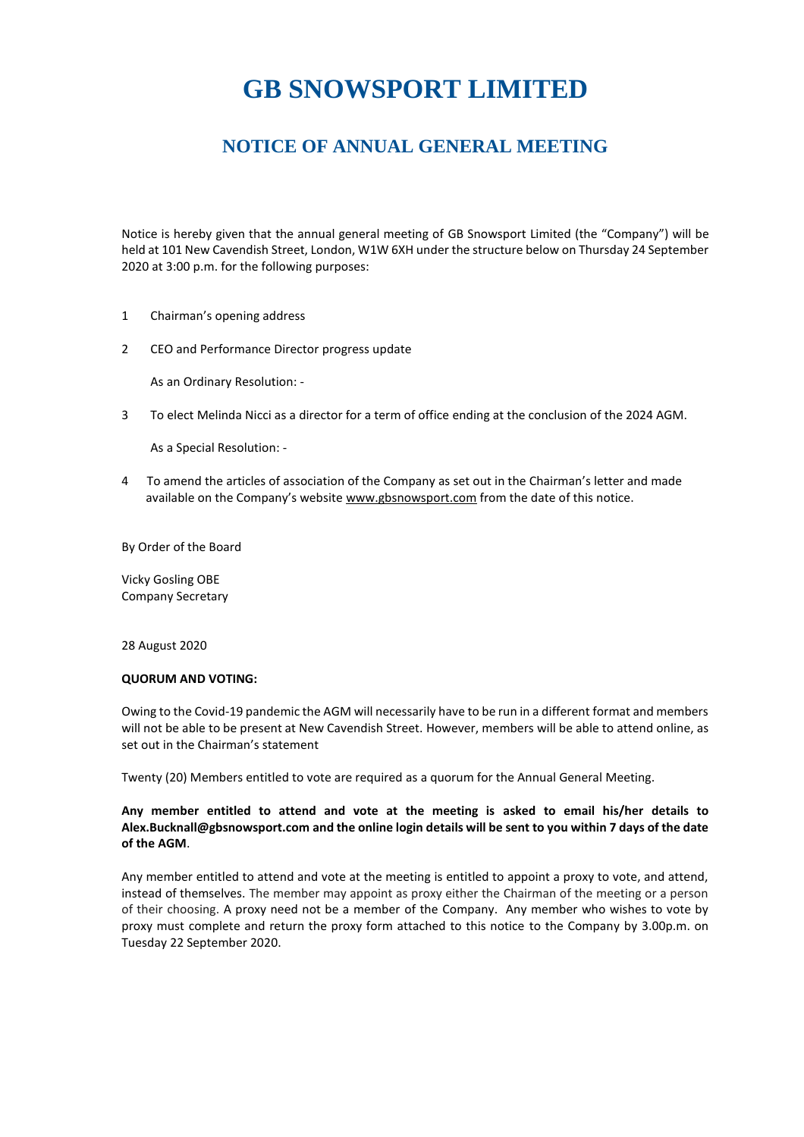# **GB SNOWSPORT LIMITED**

### **NOTICE OF ANNUAL GENERAL MEETING**

Notice is hereby given that the annual general meeting of GB Snowsport Limited (the "Company") will be held at 101 New Cavendish Street, London, W1W 6XH under the structure below on Thursday 24 September 2020 at 3:00 p.m. for the following purposes:

- 1 Chairman's opening address
- 2 CEO and Performance Director progress update

As an Ordinary Resolution: -

3 To elect Melinda Nicci as a director for a term of office ending at the conclusion of the 2024 AGM.

As a Special Resolution: -

4 To amend the articles of association of the Company as set out in the Chairman's letter and made available on the Company's website [www.gbsnowsport.com](http://www.gbsnowsport.com/) from the date of this notice.

By Order of the Board

Vicky Gosling OBE Company Secretary

28 August 2020

#### **QUORUM AND VOTING:**

Owing to the Covid-19 pandemic the AGM will necessarily have to be run in a different format and members will not be able to be present at New Cavendish Street. However, members will be able to attend online, as set out in the Chairman's statement

Twenty (20) Members entitled to vote are required as a quorum for the Annual General Meeting.

#### **Any member entitled to attend and vote at the meeting is asked to email his/her details to [Alex.Bucknall@gbsnowsport.com](mailto:Alex.Bucknall@gbsnowsport.com) and the online login details will be sent to you within 7 days of the date of the AGM**.

Any member entitled to attend and vote at the meeting is entitled to appoint a proxy to vote, and attend, instead of themselves. The member may appoint as proxy either the Chairman of the meeting or a person of their choosing. A proxy need not be a member of the Company. Any member who wishes to vote by proxy must complete and return the proxy form attached to this notice to the Company by 3.00p.m. on Tuesday 22 September 2020.